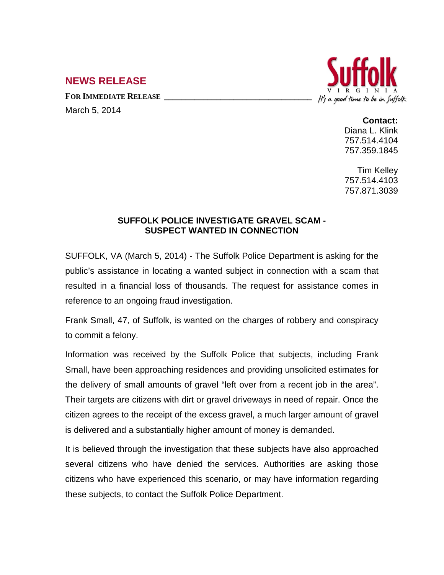## **NEWS RELEASE**

**FOR IMMEDIATE RELEASE \_\_\_\_\_\_\_\_\_\_\_\_\_\_\_\_\_\_\_\_\_\_\_\_\_\_\_\_\_\_\_\_\_\_**

March 5, 2014



## **Contact:**

Diana L. Klink 757.514.4104 757.359.1845

Tim Kelley 757.514.4103 757.871.3039

## **SUFFOLK POLICE INVESTIGATE GRAVEL SCAM - SUSPECT WANTED IN CONNECTION**

SUFFOLK, VA (March 5, 2014) - The Suffolk Police Department is asking for the public's assistance in locating a wanted subject in connection with a scam that resulted in a financial loss of thousands. The request for assistance comes in reference to an ongoing fraud investigation.

Frank Small, 47, of Suffolk, is wanted on the charges of robbery and conspiracy to commit a felony.

Information was received by the Suffolk Police that subjects, including Frank Small, have been approaching residences and providing unsolicited estimates for the delivery of small amounts of gravel "left over from a recent job in the area". Their targets are citizens with dirt or gravel driveways in need of repair. Once the citizen agrees to the receipt of the excess gravel, a much larger amount of gravel is delivered and a substantially higher amount of money is demanded.

It is believed through the investigation that these subjects have also approached several citizens who have denied the services. Authorities are asking those citizens who have experienced this scenario, or may have information regarding these subjects, to contact the Suffolk Police Department.